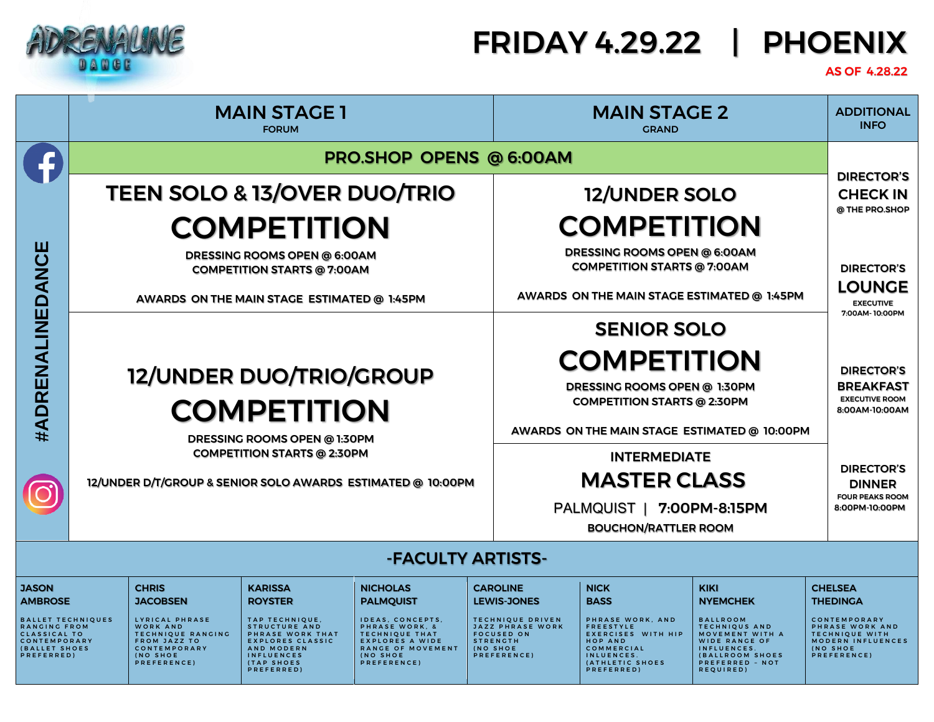

### FRIDAY 4.29.22 | PHOENIX

### AS OF 4.28.22

|                                                                                                                                           | <b>MAIN STAGE 1</b><br><b>FORUM</b>                                                               |                                                                                                                                                                    |                                                                                                                                                                                          | <b>MAIN STAGE 2</b><br><b>GRAND</b>                                                                                                                                                 |                                                                                                                                                                |                    | <b>ADDITIONAL</b><br><b>INFO</b>                                                                                                                                               |                                                                                                                                                                                               |                                      |                                                                                                                                                      |
|-------------------------------------------------------------------------------------------------------------------------------------------|---------------------------------------------------------------------------------------------------|--------------------------------------------------------------------------------------------------------------------------------------------------------------------|------------------------------------------------------------------------------------------------------------------------------------------------------------------------------------------|-------------------------------------------------------------------------------------------------------------------------------------------------------------------------------------|----------------------------------------------------------------------------------------------------------------------------------------------------------------|--------------------|--------------------------------------------------------------------------------------------------------------------------------------------------------------------------------|-----------------------------------------------------------------------------------------------------------------------------------------------------------------------------------------------|--------------------------------------|------------------------------------------------------------------------------------------------------------------------------------------------------|
|                                                                                                                                           | PRO.SHOP OPENS @ 6:00AM                                                                           |                                                                                                                                                                    |                                                                                                                                                                                          |                                                                                                                                                                                     |                                                                                                                                                                |                    |                                                                                                                                                                                |                                                                                                                                                                                               |                                      |                                                                                                                                                      |
|                                                                                                                                           | <b>TEEN SOLO &amp; 13/OVER DUO/TRIO</b>                                                           |                                                                                                                                                                    |                                                                                                                                                                                          |                                                                                                                                                                                     | 12/UNDER SOLO                                                                                                                                                  |                    |                                                                                                                                                                                |                                                                                                                                                                                               | <b>DIRECTOR'S</b><br><b>CHECK IN</b> |                                                                                                                                                      |
|                                                                                                                                           | <b>COMPETITION</b>                                                                                |                                                                                                                                                                    |                                                                                                                                                                                          |                                                                                                                                                                                     | <b>COMPETITION</b>                                                                                                                                             |                    |                                                                                                                                                                                | @ THE PRO.SHOP                                                                                                                                                                                |                                      |                                                                                                                                                      |
|                                                                                                                                           | DRESSING ROOMS OPEN @ 6:00AM<br><b>COMPETITION STARTS @ 7:00AM</b>                                |                                                                                                                                                                    |                                                                                                                                                                                          |                                                                                                                                                                                     | DRESSING ROOMS OPEN @ 6:00AM<br><b>COMPETITION STARTS @ 7:00AM</b>                                                                                             |                    |                                                                                                                                                                                |                                                                                                                                                                                               | <b>DIRECTOR'S</b>                    |                                                                                                                                                      |
|                                                                                                                                           | AWARDS ON THE MAIN STAGE ESTIMATED @ 1:45PM                                                       |                                                                                                                                                                    |                                                                                                                                                                                          |                                                                                                                                                                                     | AWARDS ON THE MAIN STAGE ESTIMATED @ 1:45PM                                                                                                                    |                    |                                                                                                                                                                                |                                                                                                                                                                                               | <b>LOUNGE</b><br><b>EXECUTIVE</b>    |                                                                                                                                                      |
|                                                                                                                                           |                                                                                                   |                                                                                                                                                                    |                                                                                                                                                                                          |                                                                                                                                                                                     |                                                                                                                                                                | <b>SENIOR SOLO</b> |                                                                                                                                                                                |                                                                                                                                                                                               |                                      | 7:00AM-10:00PM                                                                                                                                       |
| #ADRENALINEDANCE                                                                                                                          | 12/UNDER DUO/TRIO/GROUP<br><b>COMPETITION</b><br>DRESSING ROOMS OPEN @ 1:30PM                     |                                                                                                                                                                    |                                                                                                                                                                                          |                                                                                                                                                                                     |                                                                                                                                                                |                    | <b>COMPETITION</b><br>DRESSING ROOMS OPEN @ 1:30PM<br><b>COMPETITION STARTS @ 2:30PM</b><br>AWARDS ON THE MAIN STAGE ESTIMATED @ 10:00PM                                       |                                                                                                                                                                                               |                                      | <b>DIRECTOR'S</b><br><b>BREAKFAST</b><br><b>EXECUTIVE ROOM</b><br>8:00AM-10:00AM                                                                     |
|                                                                                                                                           | <b>COMPETITION STARTS @ 2:30PM</b><br>12/UNDER D/T/GROUP & SENIOR SOLO AWARDS ESTIMATED @ 10:00PM |                                                                                                                                                                    |                                                                                                                                                                                          | <b>INTERMEDIATE</b><br><b>MASTER CLASS</b><br>PALMQUIST   7:00PM-8:15PM<br><b>BOUCHON/RATTLER ROOM</b>                                                                              |                                                                                                                                                                |                    |                                                                                                                                                                                | <b>DIRECTOR'S</b><br><b>DINNER</b><br><b>FOUR PEAKS ROOM</b><br>8:00PM-10:00PM                                                                                                                |                                      |                                                                                                                                                      |
| -FACULTY ARTISTS-                                                                                                                         |                                                                                                   |                                                                                                                                                                    |                                                                                                                                                                                          |                                                                                                                                                                                     |                                                                                                                                                                |                    |                                                                                                                                                                                |                                                                                                                                                                                               |                                      |                                                                                                                                                      |
| <b>JASON</b><br><b>AMBROSE</b><br><b>BALLET TECHNIQUES</b><br>RANGING FROM<br>CLASSICAL TO<br>CONTEMPORARY<br>(BALLET SHOES<br>PREFERRED) |                                                                                                   | <b>CHRIS</b><br><b>JACOBSEN</b><br>LYRICAL PHRASE<br><b>WORK AND</b><br>TECHNIQUE RANGING<br><b>FROM JAZZ TO</b><br>CONTEMPORARY<br><b>(NO SHOE</b><br>PREFERENCE) | <b>KARISSA</b><br><b>ROYSTER</b><br>TAP TECHNIQUE,<br><b>STRUCTURE AND</b><br>PHRASE WORK THAT<br><b>EXPLORES CLASSIC</b><br>AND MODERN<br><b>INFLUENCES</b><br>(TAP SHOES<br>PREFERRED) | <b>NICHOLAS</b><br><b>PALMQUIST</b><br>IDEAS, CONCEPTS,<br>PHRASE WORK, &<br><b>TECHNIQUE THAT</b><br><b>EXPLORES A WIDE</b><br>RANGE OF MOVEMENT<br><b>INO SHOE</b><br>PREFERENCE) | <b>CAROLINE</b><br><b>LEWIS-JONES</b><br><b>TECHNIQUE DRIVEN</b><br><b>JAZZ PHRASE WORK</b><br><b>FOCUSED ON</b><br><b>STRENGTH</b><br>(NO SHOE<br>PREFERENCE) |                    | <b>NICK</b><br><b>BASS</b><br>PHRASE WORK, AND<br><b>FREESTYLE</b><br><b>EXERCISES WITH HIP</b><br><b>HOP AND</b><br>COMMERCIAL<br>INLUENCES.<br>(ATHLETIC SHOES<br>PREFERRED) | <b>KIKI</b><br><b>NYEMCHEK</b><br><b>BALLROOM</b><br><b>TECHNIQUS AND</b><br>MOVEMENT WITH A<br><b>WIDE RANGE OF</b><br>INFLUENCES.<br><b>(BALLROOM SHOES</b><br>PREFERRED - NOT<br>REQUIRED) |                                      | <b>CHELSEA</b><br><b>THEDINGA</b><br>CONTEMPORARY<br>PHRASE WORK AND<br><b>TECHNIQUE WITH</b><br><b>MODERN INFLUENCES</b><br>(NO SHOE<br>PREFERENCE) |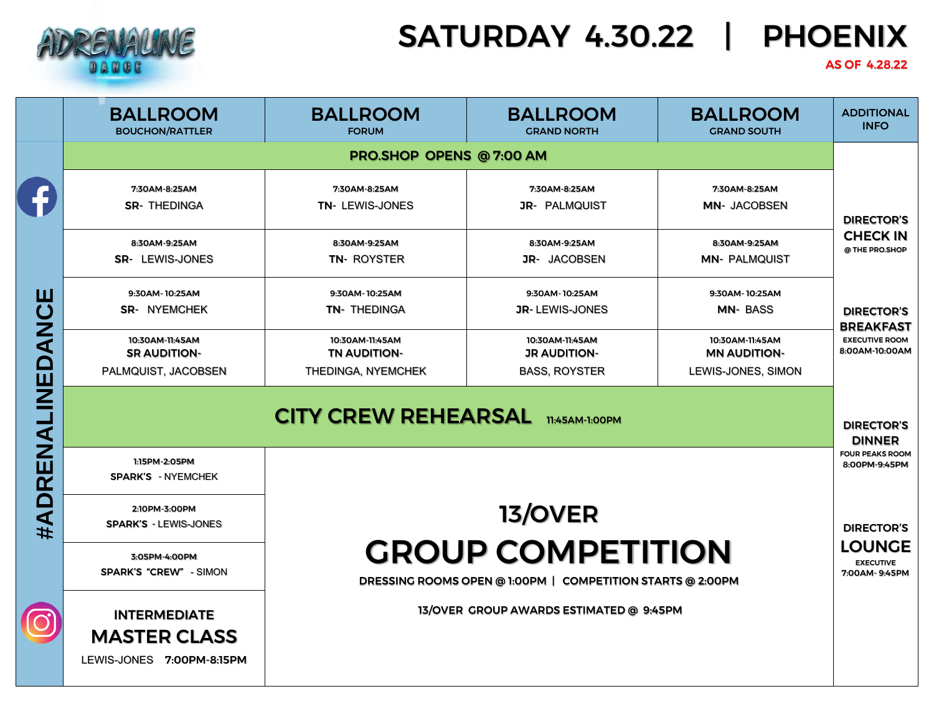

# SATURDAY 4.30.22 | PHOENIX

#### AS OF 4.28.22

|                  | <b>BALLROOM</b><br><b>BOUCHON/RATTLER</b>                                                                                                | <b>BALLROOM</b><br><b>FORUM</b>                              | <b>BALLROOM</b><br><b>GRAND NORTH</b>                          | <b>BALLROOM</b><br><b>GRAND SOUTH</b>                        | <b>ADDITIONAL</b><br><b>INFO</b>                                                                                      |  |  |
|------------------|------------------------------------------------------------------------------------------------------------------------------------------|--------------------------------------------------------------|----------------------------------------------------------------|--------------------------------------------------------------|-----------------------------------------------------------------------------------------------------------------------|--|--|
|                  | PRO.SHOP OPENS @ 7:00 AM                                                                                                                 |                                                              |                                                                |                                                              |                                                                                                                       |  |  |
|                  | 7:30AM-8:25AM<br><b>SR- THEDINGA</b>                                                                                                     | 7:30AM-8:25AM<br>TN- LEWIS-JONES                             | 7:30AM-8:25AM<br><b>JR- PALMQUIST</b>                          | 7:30AM-8:25AM<br>MN- JACOBSEN                                | <b>DIRECTOR'S</b>                                                                                                     |  |  |
| #ADRENALINEDANCE | 8:30AM-9:25AM<br>SR- LEWIS-JONES                                                                                                         | 8:30AM-9:25AM<br>TN- ROYSTER                                 | 8:30AM-9:25AM<br><b>JR- JACOBSEN</b>                           | 8:30AM-9:25AM<br><b>MN- PALMQUIST</b>                        | <b>CHECK IN</b><br>@ THE PRO.SHOP<br><b>DIRECTOR'S</b><br><b>BREAKFAST</b><br><b>EXECUTIVE ROOM</b><br>8:00AM-10:00AM |  |  |
|                  | 9:30AM-10:25AM<br><b>SR- NYEMCHEK</b>                                                                                                    | 9:30AM-10:25AM<br><b>TN- THEDINGA</b>                        | 9:30AM-10:25AM<br><b>JR-LEWIS-JONES</b>                        | 9:30AM-10:25AM<br><b>MN-BASS</b>                             |                                                                                                                       |  |  |
|                  | 10:30AM-11:45AM<br><b>SR AUDITION-</b><br>PALMQUIST, JACOBSEN                                                                            | 10:30AM-11:45AM<br><b>TN AUDITION-</b><br>THEDINGA, NYEMCHEK | 10:30AM-11:45AM<br><b>JR AUDITION-</b><br><b>BASS, ROYSTER</b> | 10:30AM-11:45AM<br><b>MN AUDITION-</b><br>LEWIS-JONES, SIMON |                                                                                                                       |  |  |
|                  | <b>CITY CREW REHEARSAL</b> TI:45AM-1:00PM                                                                                                |                                                              |                                                                |                                                              |                                                                                                                       |  |  |
|                  | 1:15PM-2:05PM<br>SPARK'S - NYEMCHEK                                                                                                      |                                                              |                                                                |                                                              | <b>FOUR PEAKS ROOM</b><br>8:00PM-9:45PM                                                                               |  |  |
|                  | 2:10PM-3:00PM<br><b>13/OVER</b><br><b>SPARK'S - LEWIS-JONES</b>                                                                          |                                                              |                                                                |                                                              |                                                                                                                       |  |  |
|                  | <b>GROUP COMPETITION</b><br>3:05PM-4:00PM<br><b>SPARK'S "CREW" - SIMON</b><br>DRESSING ROOMS OPEN @ 1:00PM   COMPETITION STARTS @ 2:00PM |                                                              |                                                                |                                                              |                                                                                                                       |  |  |
|                  | <b>INTERMEDIATE</b><br><b>MASTER CLASS</b><br>LEWIS-JONES 7:00PM-8:15PM                                                                  | 13/OVER GROUP AWARDS ESTIMATED @ 9:45PM                      |                                                                |                                                              |                                                                                                                       |  |  |